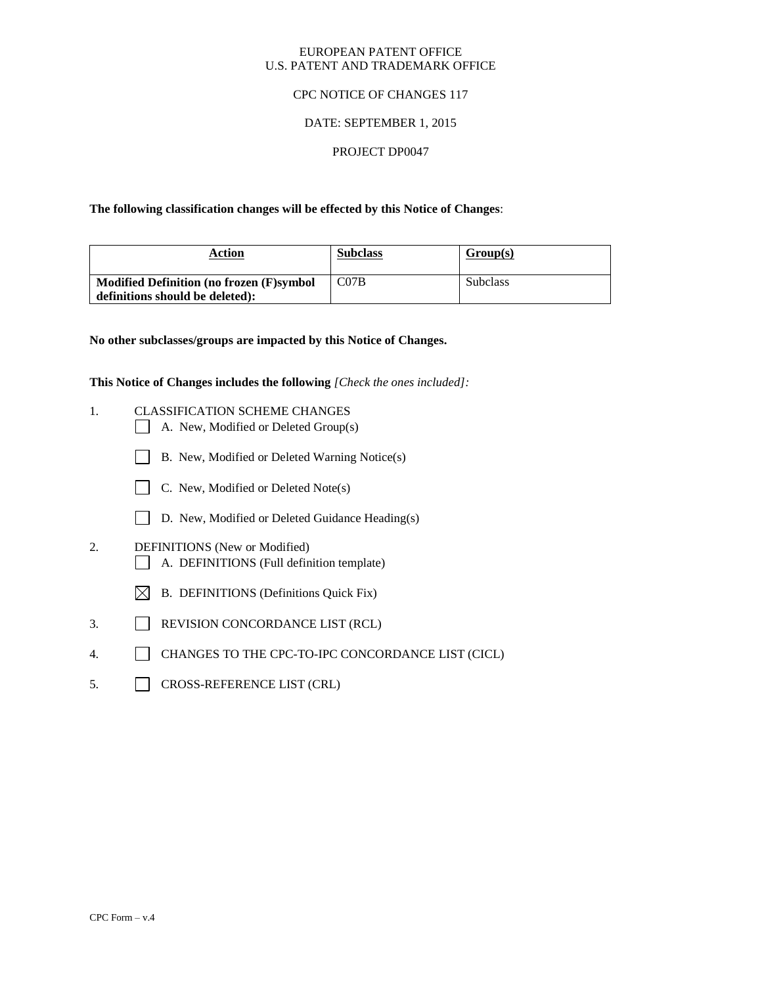#### EUROPEAN PATENT OFFICE U.S. PATENT AND TRADEMARK OFFICE

### CPC NOTICE OF CHANGES 117

# DATE: SEPTEMBER 1, 2015

#### PROJECT DP0047

**The following classification changes will be effected by this Notice of Changes**:

| Action                                   | <b>Subclass</b> | Group(s)        |
|------------------------------------------|-----------------|-----------------|
| Modified Definition (no frozen (F)symbol | CO7B            | <b>Subclass</b> |
| definitions should be deleted):          |                 |                 |

**No other subclasses/groups are impacted by this Notice of Changes.**

**This Notice of Changes includes the following** *[Check the ones included]:*

- 1. CLASSIFICATION SCHEME CHANGES
	- A. New, Modified or Deleted Group(s)
	- B. New, Modified or Deleted Warning Notice(s)
	- $\Box$  C. New, Modified or Deleted Note(s)
	- D. New, Modified or Deleted Guidance Heading(s)
- 2. DEFINITIONS (New or Modified) A. DEFINITIONS (Full definition template)
	- $\boxtimes$  B. DEFINITIONS (Definitions Quick Fix)
- 3. REVISION CONCORDANCE LIST (RCL)
- 4. CHANGES TO THE CPC-TO-IPC CONCORDANCE LIST (CICL)
- 5. CROSS-REFERENCE LIST (CRL)